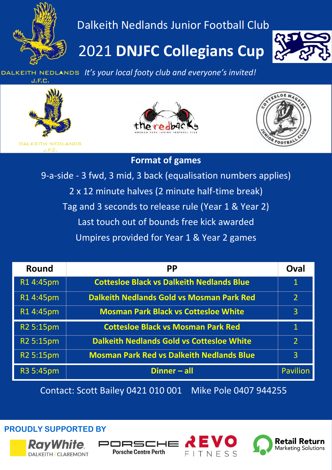

### Dalkeith Nedlands Junior Football Club

## 2021 **DNJFC Collegians Cup**



 *It's your local footy club and everyone's invited!* J.F.C.







#### **Format of games**

9-a-side - 3 fwd, 3 mid, 3 back (equalisation numbers applies) 2 x 12 minute halves (2 minute half-time break) Tag and 3 seconds to release rule (Year 1 & Year 2) Last touch out of bounds free kick awarded Umpires provided for Year 1 & Year 2 games

| <b>Round</b>          | <b>PP</b>                                        | Oval           |
|-----------------------|--------------------------------------------------|----------------|
| R14:45pm              | <b>Cottesloe Black vs Dalkeith Nedlands Blue</b> | $\mathbf 1$    |
| R14:45pm              | <b>Dalkeith Nedlands Gold vs Mosman Park Red</b> | $\overline{2}$ |
| R14:45pm              | <b>Mosman Park Black vs Cottesloe White</b>      | $\overline{3}$ |
| R2 5:15pm             | <b>Cottesloe Black vs Mosman Park Red</b>        | $\mathbf 1$    |
| R <sub>2</sub> 5:15pm | <b>Dalkeith Nedlands Gold vs Cottesloe White</b> | 2              |
| R <sub>2</sub> 5:15pm | <b>Mosman Park Red vs Dalkeith Nedlands Blue</b> | $\overline{3}$ |
| R3 5:45pm             | Dinner - all                                     | Pavilion       |

Contact: Scott Bailey 0421 010 001 Mike Pole 0407 944255

**PROUDLY SUPPORTED BY**







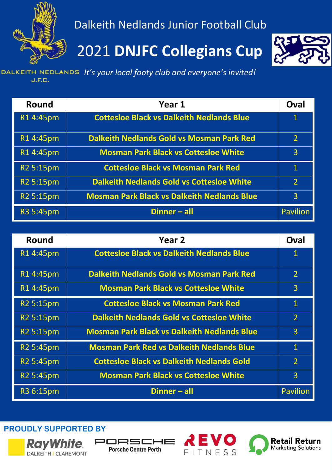

Dalkeith Nedlands Junior Football Club

### 2021 **DNJFC Collegians Cup**



 *It's your local footy club and everyone's invited!*  $J.F.C.$ 

| <b>Round</b> | Year 1                                             | Oval                     |
|--------------|----------------------------------------------------|--------------------------|
| R14:45pm     | <b>Cottesloe Black vs Dalkeith Nedlands Blue</b>   | $\mathbf 1$              |
| R14:45pm     | <b>Dalkeith Nedlands Gold vs Mosman Park Red</b>   | $\overline{2}$           |
| R14:45pm     | <b>Mosman Park Black vs Cottesloe White</b>        | 3                        |
| R2 5:15pm    | <b>Cottesloe Black vs Mosman Park Red</b>          | $\mathbf{1}$             |
| R2 5:15pm    | <b>Dalkeith Nedlands Gold vs Cottesloe White</b>   | $\overline{\phantom{a}}$ |
| R2 5:15pm    | <b>Mosman Park Black vs Dalkeith Nedlands Blue</b> | 3                        |
| R3 5:45pm    | Dinner - all                                       | <b>Pavilion</b>          |

| Round                 | Year <sub>2</sub>                                  | Oval            |
|-----------------------|----------------------------------------------------|-----------------|
| R14:45pm              | <b>Cottesloe Black vs Dalkeith Nedlands Blue</b>   | $\mathbf 1$     |
| R14:45pm              | <b>Dalkeith Nedlands Gold vs Mosman Park Red</b>   | $\overline{2}$  |
| R14:45pm              | <b>Mosman Park Black vs Cottesloe White</b>        | 3               |
| R2 5:15pm             | <b>Cottesloe Black vs Mosman Park Red</b>          | $\mathbf{1}$    |
| R <sub>2</sub> 5:15pm | <b>Dalkeith Nedlands Gold vs Cottesloe White</b>   | $\overline{2}$  |
| R <sub>2</sub> 5:15pm | <b>Mosman Park Black vs Dalkeith Nedlands Blue</b> | 3               |
| R <sub>2</sub> 5:45pm | <b>Mosman Park Red vs Dalkeith Nedlands Blue</b>   | $\mathbf{1}$    |
| R <sub>2</sub> 5:45pm | <b>Cottesloe Black vs Dalkeith Nedlands Gold</b>   | $\overline{2}$  |
| R <sub>2</sub> 5:45pm | <b>Mosman Park Black vs Cottesloe White</b>        | $\overline{3}$  |
| R3 6:15pm             | Dinner - all                                       | <b>Pavilion</b> |

**PROUDLY SUPPORTED BY**